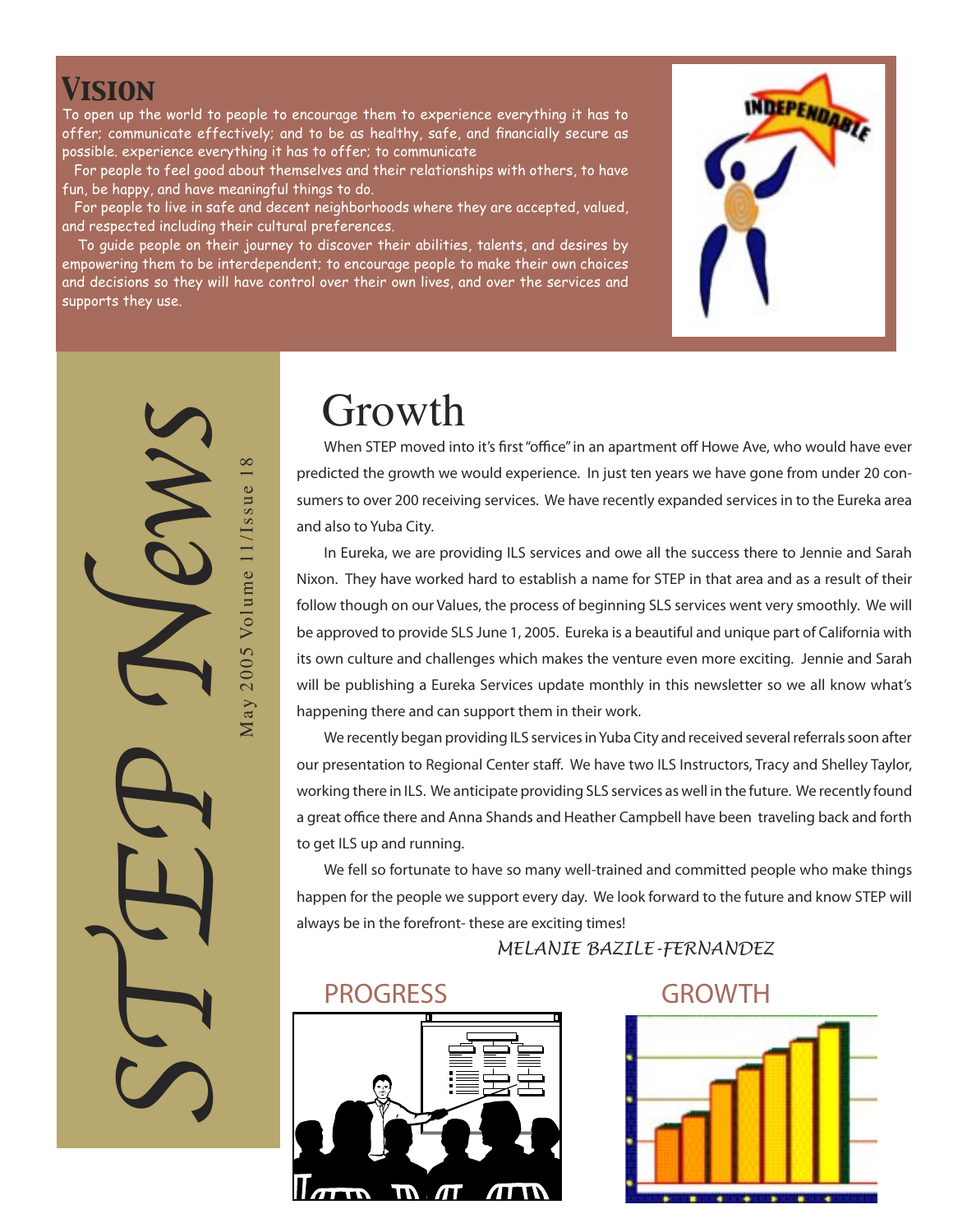#### *Vision*

To open up the world to people to encourage them to experience everything it has to offer; communicate effectively; and to be as healthy, safe, and financially secure as possible. experience everything it has to offer; to communicate

 For people to feel good about themselves and their relationships with others, to have fun, be happy, and have meaningful things to do.

 For people to live in safe and decent neighborhoods where they are accepted, valued, and respected including their cultural preferences.

 To guide people on their journey to discover their abilities, talents, and desires by empowering them to be interdependent; to encourage people to make their own choices and decisions so they will have control over their own lives, and over the services and supports they use.



STEP News May 2005 Volume 11/Issue 18 May 2005 Volume 11/Issue 18

# Growth

**When STEP moved into it's first "office" in an apartment off Howe Ave, who would have ever predicted the growth we would experience. In just ten years we have gone from under 20 consumers to over 200 receiving services. We have recently expanded services in to the Eureka area and also to Yuba City.** 

**In Eureka, we are providing ILS services and owe all the success there to Jennie and Sarah Nixon. They have worked hard to establish a name for STEP in that area and as a result of their follow though on our Values, the process of beginning SLS services went very smoothly. We will be approved to provide SLS June 1, 2005. Eureka is a beautiful and unique part of California with its own culture and challenges which makes the venture even more exciting. Jennie and Sarah will be publishing a Eureka Services update monthly in this newsletter so we all know what's happening there and can support them in their work.**

**We recently began providing ILS services in Yuba City and received several referrals soon after our presentation to Regional Center staff. We have two ILS Instructors, Tracy and Shelley Taylor, working there in ILS. We anticipate providing SLS services as well in the future. We recently found a great office there and Anna Shands and Heather Campbell have been traveling back and forth to get ILS up and running.**

**We fell so fortunate to have so many well-trained and committed people who make things happen for the people we support every day. We look forward to the future and know STEP will always be in the forefront- these are exciting times!**

*MELANIE BAZILE-FERNANDEZ* 

#### PROGRESS GROWTH



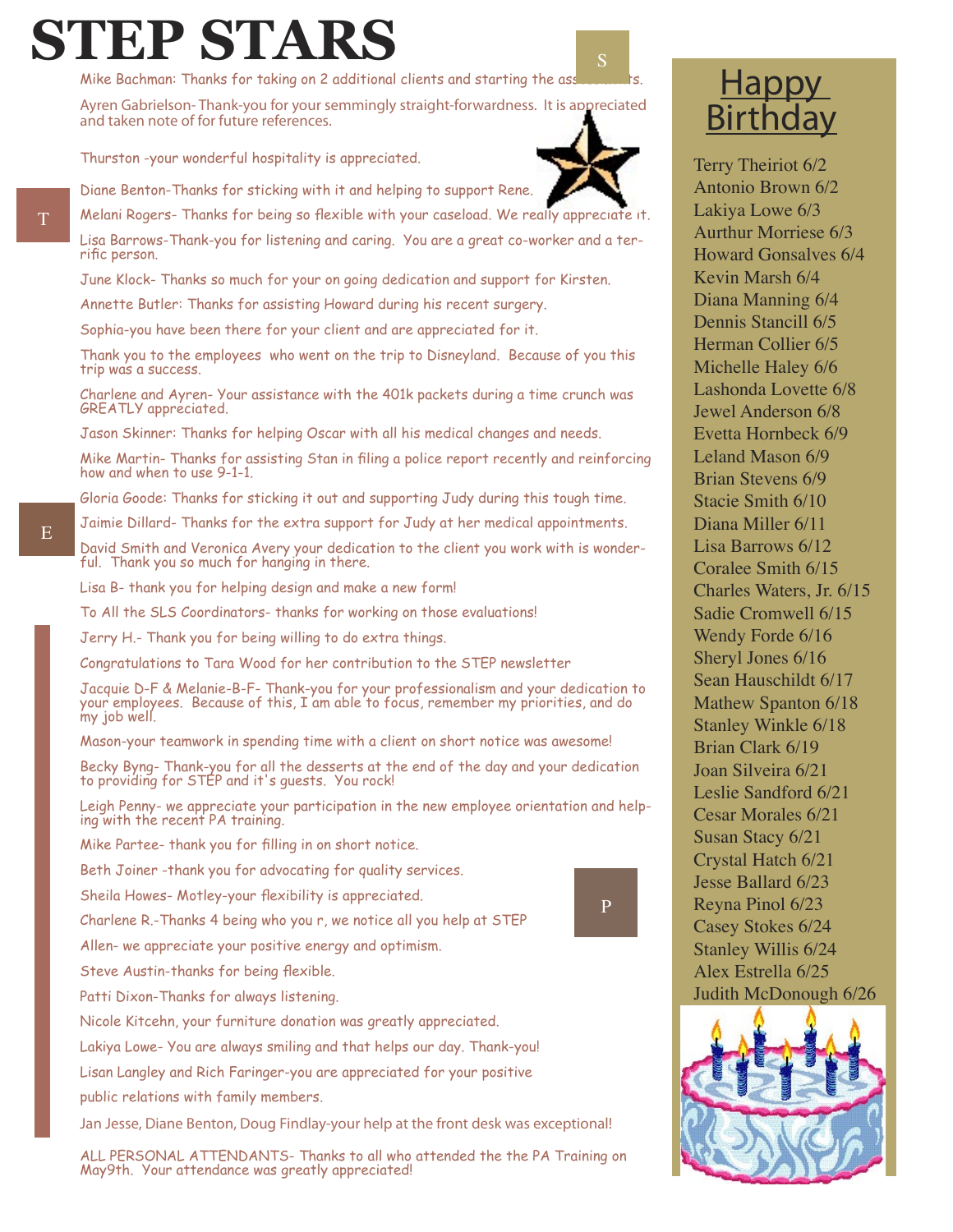# **STEP STARS**

Mike Bachman: Thanks for taking on 2 additional clients and starting the ass

*Ayren Gabrielson- Thank-you for your semmingly straight-forwardness. It is appreciated and taken note of for future references.*

Thurston -your wonderful hospitality is appreciated.

Diane Benton-Thanks for sticking with it and helping to support Rene.

Melani Rogers- Thanks for being so flexible with your caseload. We really appreciate it. Lisa Barrows-Thank-you for listening and caring. You are a great co-worker and a terrific person.

June Klock- Thanks so much for your on going dedication and support for Kirsten.

Annette Butler: Thanks for assisting Howard during his recent surgery.

Sophia-you have been there for your client and are appreciated for it.

Thank you to the employees who went on the trip to Disneyland. Because of you this trip was a success.

Charlene and Ayren- Your assistance with the 401k packets during a time crunch was GREATLY appreciated.

Jason Skinner: Thanks for helping Oscar with all his medical changes and needs.

Mike Martin- Thanks for assisting Stan in filing a police report recently and reinforcing how and when to use 9-1-1.

Gloria Goode: Thanks for sticking it out and supporting Judy during this tough time.

Jaimie Dillard- Thanks for the extra support for Judy at her medical appointments.

David Smith and Veronica Avery your dedication to the client you work with is wonderful. Thank you so much for hanging in there.

Lisa B- thank you for helping design and make a new form!

To All the SLS Coordinators- thanks for working on those evaluations!

Jerry H.- Thank you for being willing to do extra things.

Congratulations to Tara Wood for her contribution to the STEP newsletter

Jacquie D-F & Melanie-B-F- Thank-you for your professionalism and your dedication to your employees. Because of this, I am able to focus, remember my priorities, and do my job well.

Mason-your teamwork in spending time with a client on short notice was awesome!

Becky Byng- Thank-you for all the desserts at the end of the day and your dedication to providing for STEP and it's guests. You rock!

Leigh Penny- we appreciate your participation in the new employee orientation and helping with the recent PA training.

Mike Partee- thank you for filling in on short notice.

Beth Joiner -thank you for advocating for quality services.

Sheila Howes- Motley-your flexibility is appreciated.

Charlene R.-Thanks 4 being who you r, we notice all you help at STEP

Allen- we appreciate your positive energy and optimism.

Steve Austin-thanks for being flexible.

Patti Dixon-Thanks for always listening.

Nicole Kitcehn, your furniture donation was greatly appreciated.

Lakiya Lowe- You are always smiling and that helps our day. Thank-you!

Lisan Langley and Rich Faringer-you are appreciated for your positive

public relations with family members.

*Jan Jesse, Diane Benton, Doug Findlay-your help at the front desk was exceptional!*

ALL PERSONAL ATTENDANTS- Thanks to all who attended the the PA Training on May9th. Your attendance was greatly appreciated!

#### **Happy** Birthday

Terry Theiriot 6/2 Antonio Brown 6/2 Lakiya Lowe 6/3 Aurthur Morriese 6/3 Howard Gonsalves 6/4 Kevin Marsh 6/4 Diana Manning 6/4 Dennis Stancill 6/5 Herman Collier 6/5 Michelle Haley 6/6 Lashonda Lovette 6/8 Jewel Anderson 6/8 Evetta Hornbeck 6/9 Leland Mason 6/9 Brian Stevens 6/9 Stacie Smith 6/10 Diana Miller 6/11 Lisa Barrows 6/12 Coralee Smith 6/15 Charles Waters, Jr. 6/15 Sadie Cromwell 6/15 Wendy Forde 6/16 Sheryl Jones 6/16 Sean Hauschildt 6/17 Mathew Spanton 6/18 Stanley Winkle 6/18 Brian Clark 6/19 Joan Silveira 6/21 Leslie Sandford 6/21 Cesar Morales 6/21 Susan Stacy 6/21 Crystal Hatch 6/21 Jesse Ballard 6/23 Reyna Pinol 6/23 Casey Stokes 6/24 Stanley Willis 6/24 Alex Estrella 6/25 Judith McDonough 6/26



 $\mathbb T$ 

P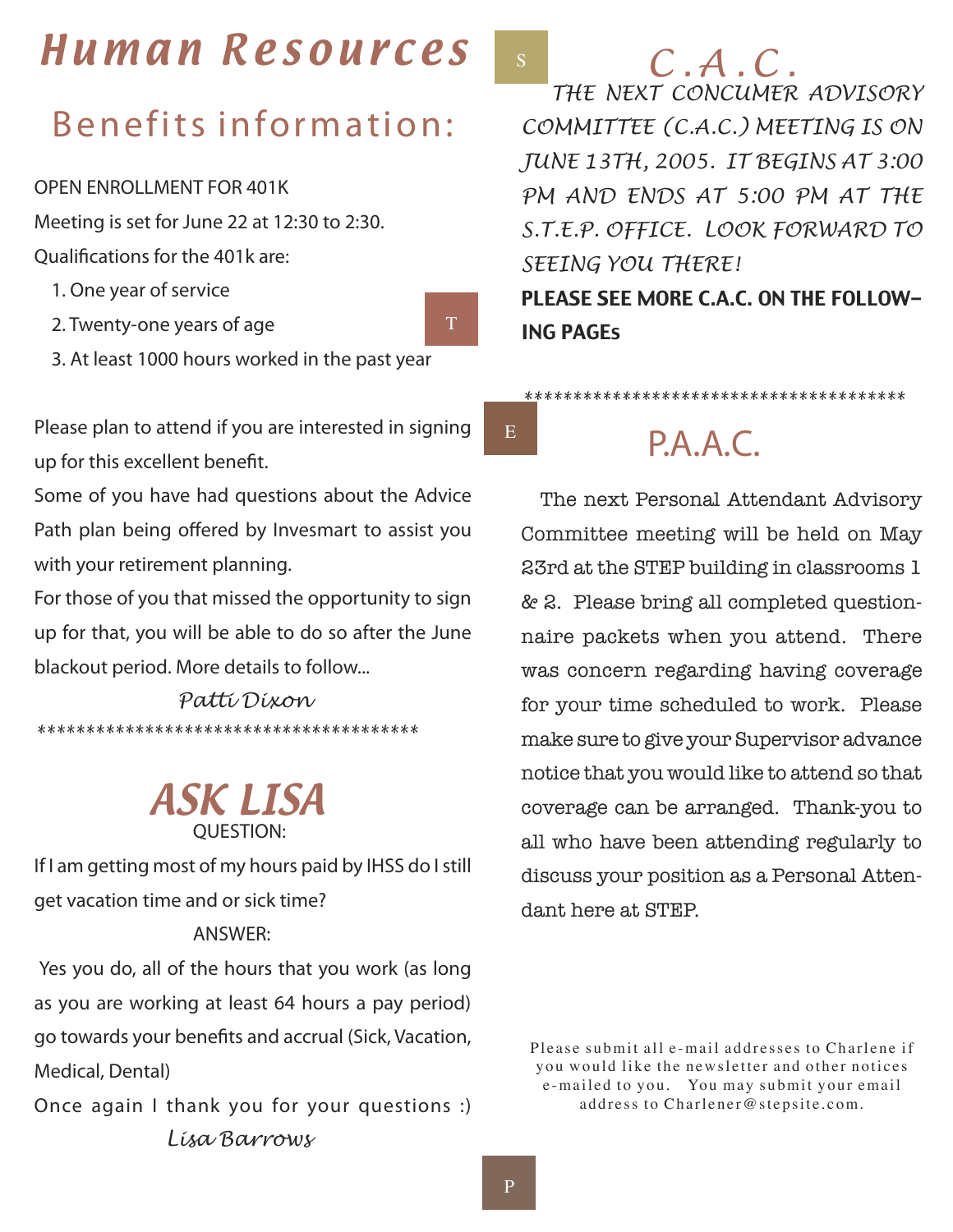# Human Resources

# Benefits information:

*OPEN ENROLLMENT FOR 401K*

*Meeting is set for June 22 at 12:30 to 2:30.*

*Qualifications for the 401k are:*

- *1. One year of service*
- *2. Twenty-one years of age*
- *3. At least 1000 hours worked in the past year*

*Please plan to attend if you are interested in signing up for this excellent benefit.*

*Some of you have had questions about the Advice Path plan being offered by Invesmart to assist you with your retirement planning.*

*For those of you that missed the opportunity to sign up for that, you will be able to do so after the June blackout period. More details to follow...* 

 *Patti Dixon \*\*\*\*\*\*\*\*\*\*\*\*\*\*\*\*\*\*\*\*\*\*\*\*\*\*\*\*\*\*\*\*\*\*\*\*\*\*\**

#### ASK LISA  *QUESTION:*

*If I am getting most of my hours paid by IHSS do I still get vacation time and or sick time?*

#### *ANSWER:*

 *Yes you do, all of the hours that you work (as long as you are working at least 64 hours a pay period) go towards your benefits and accrual (Sick, Vacation, Medical, Dental)*

*Once again I thank you for your questions :) Lisa Barrows*

*C . A . C .*

 *THE NEXT CONCUMER ADVISORY COMMITTEE (C.A.C.) MEETING IS ON JUNE 13TH, 2005. IT BEGINS AT 3:00 PM AND ENDS AT 5:00 PM AT THE S.T.E.P. OFFICE. LOOK FORWARD TO SEEING YOU THERE!*

PLEASE SEE MORE C.A.C. ON THE FOLLOW-ING PAGEs

E

T

S

# P.A.A.C.

*\*\*\*\*\*\*\*\*\*\*\*\*\*\*\*\*\*\*\*\*\*\*\*\*\*\*\*\*\*\*\*\*\*\*\*\*\*\*\**

The next Personal Attendant Advisory Committee meeting will be held on May 23rd at the STEP building in classrooms 1 & 2. Please bring all completed questionnaire packets when you attend. There was concern regarding having coverage for your time scheduled to work. Please make sure to give your Supervisor advance notice that you would like to attend so that coverage can be arranged. Thank-you to all who have been attending regularly to discuss your position as a Personal Attendant here at STEP.

Please submit all e-mail addresses to Charlene if you would like the new sletter and other notices e-mailed to you. You may submit your email address to Charlener@stepsite.com.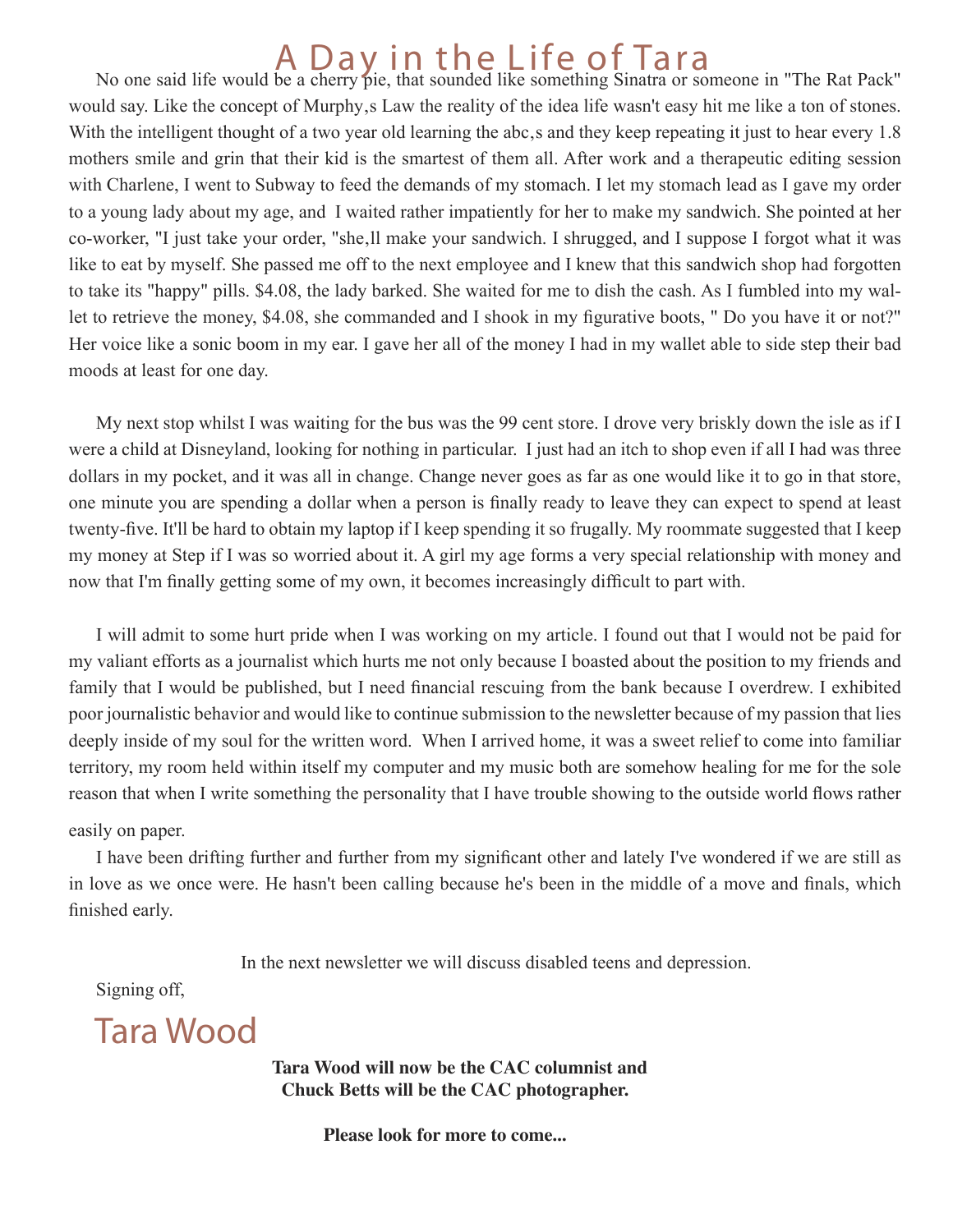# No one said life would be a cherry pie, that sounded like something Sinatra or someone in "The Rat Pack"

would say. Like the concept of Murphy, s Law the reality of the idea life wasn't easy hit me like a ton of stones. With the intelligent thought of a two year old learning the abc, s and they keep repeating it just to hear every 1.8 mothers smile and grin that their kid is the smartest of them all. After work and a therapeutic editing session with Charlene, I went to Subway to feed the demands of my stomach. I let my stomach lead as I gave my order to a young lady about my age, and I waited rather impatiently for her to make my sandwich. She pointed at her co-worker, "I just take your order, "she, ll make your sandwich. I shrugged, and I suppose I forgot what it was like to eat by myself. She passed me off to the next employee and I knew that this sandwich shop had forgotten to take its "happy" pills. \$4.08, the lady barked. She waited for me to dish the cash. As I fumbled into my wallet to retrieve the money, \$4.08, she commanded and I shook in my figurative boots, " Do you have it or not?" Her voice like a sonic boom in my ear. I gave her all of the money I had in my wallet able to side step their bad moods at least for one day.

My next stop whilst I was waiting for the bus was the 99 cent store. I drove very briskly down the isle as if I were a child at Disneyland, looking for nothing in particular. I just had an itch to shop even if all I had was three dollars in my pocket, and it was all in change. Change never goes as far as one would like it to go in that store, one minute you are spending a dollar when a person is finally ready to leave they can expect to spend at least twenty-five. It'll be hard to obtain my laptop if I keep spending it so frugally. My roommate suggested that I keep my money at Step if I was so worried about it. A girl my age forms a very special relationship with money and now that I'm finally getting some of my own, it becomes increasingly difficult to part with.

I will admit to some hurt pride when I was working on my article. I found out that I would not be paid for my valiant efforts as a journalist which hurts me not only because I boasted about the position to my friends and family that I would be published, but I need financial rescuing from the bank because I overdrew. I exhibited poor journalistic behavior and would like to continue submission to the newsletter because of my passion that lies deeply inside of my soul for the written word. When I arrived home, it was a sweet relief to come into familiar territory, my room held within itself my computer and my music both are somehow healing for me for the sole reason that when I write something the personality that I have trouble showing to the outside world flows rather

easily on paper.

I have been drifting further and further from my significant other and lately I've wondered if we are still as in love as we once were. He hasn't been calling because he's been in the middle of a move and finals, which finished early.

In the next newsletter we will discuss disabled teens and depression.

Signing off,

Tara Wood

 **Tara Wood will now be the CAC columnist and Chuck Betts will be the CAC photographer.** 

 **Please look for more to come...**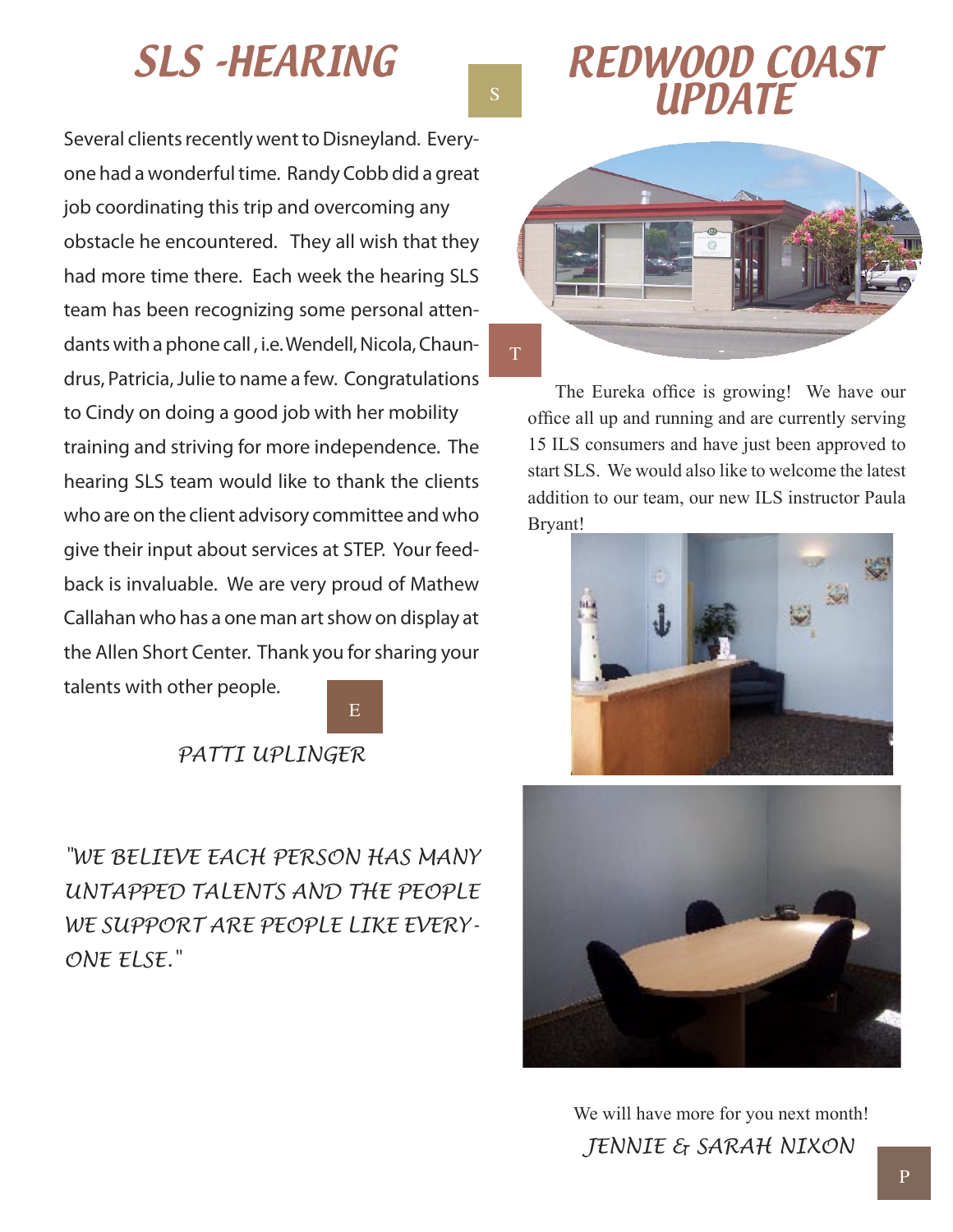*Several clients recently went to Disneyland. Everyone had a wonderful time. Randy Cobb did a great job coordinating this trip and overcoming any obstacle he encountered. They all wish that they had more time there. Each week the hearing SLS team has been recognizing some personal attendants with a phone call , i.e. Wendell, Nicola, Chaundrus, Patricia, Julie to name a few. Congratulations to Cindy on doing a good job with her mobility training and striving for more independence. The hearing SLS team would like to thank the clients who are on the client advisory committee and who give their input about services at STEP. Your feedback is invaluable. We are very proud of Mathew Callahan who has a one man art show on display at the Allen Short Center. Thank you for sharing your talents with other people.*



#### *PATTI UPLINGER*

*"WE BELIEVE EACH PERSON HAS MANY UNTAPPED TALENTS AND THE PEOPLE WE SUPPORT ARE PEOPLE LIKE EVERY-ONE ELSE."*

S



The Eureka office is growing! We have our office all up and running and are currently serving 15 ILS consumers and have just been approved to start SLS. We would also like to welcome the latest addition to our team, our new ILS instructor Paula Bryant!





 We will have more for you next month!  *JENNIE & SARAH NIXON*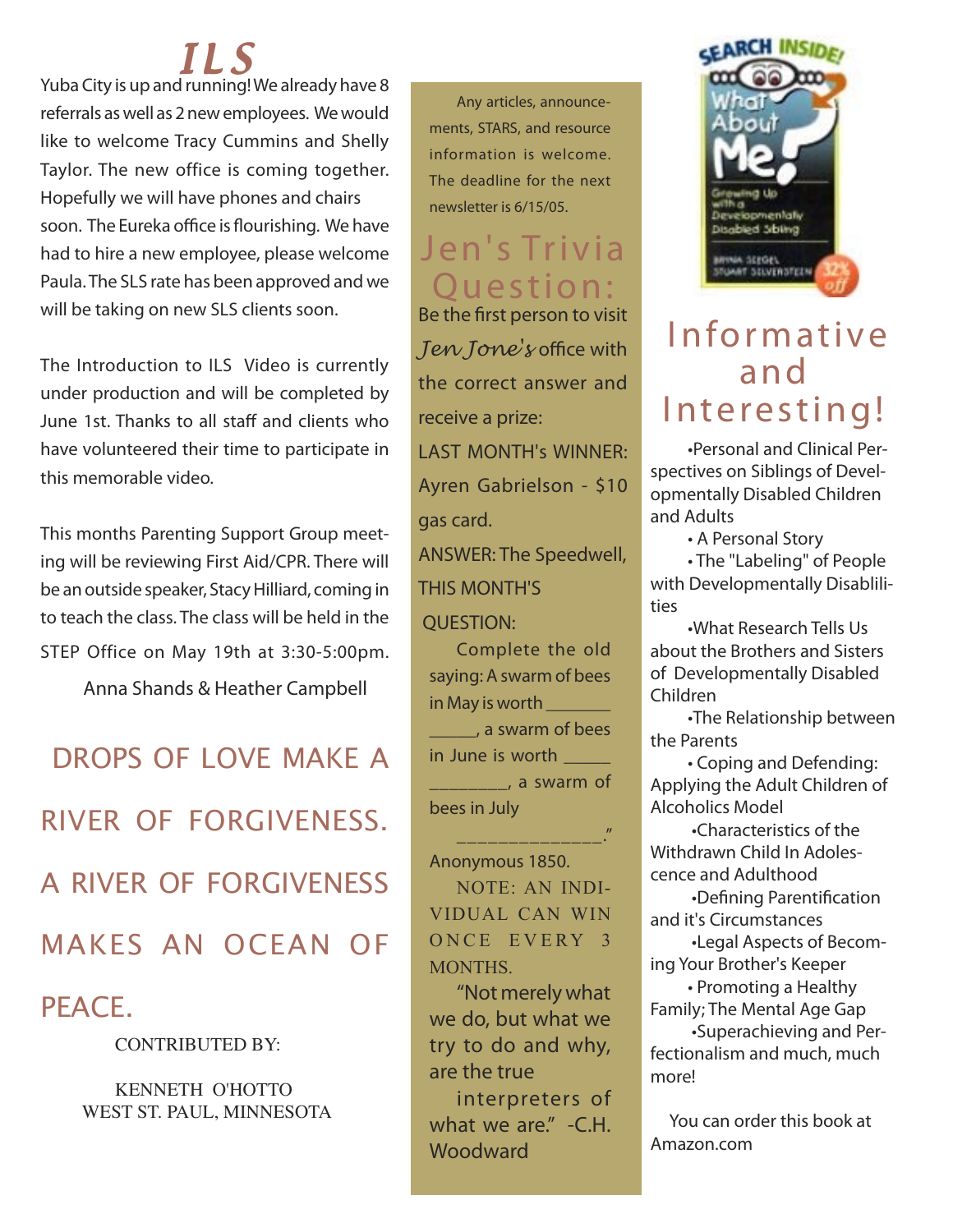# I L S

*Yuba City is up and running! We already have 8 referrals as well as 2 new employees. We would like to welcome Tracy Cummins and Shelly Taylor. The new office is coming together. Hopefully we will have phones and chairs soon. The Eureka office is flourishing. We have had to hire a new employee, please welcome Paula. The SLS rate has been approved and we will be taking on new SLS clients soon.*

*The Introduction to ILS Video is currently under production and will be completed by June 1st. Thanks to all staff and clients who have volunteered their time to participate in this memorable video.*

*This months Parenting Support Group meeting will be reviewing First Aid/CPR. There will be an outside speaker, Stacy Hilliard, coming in to teach the class. The class will be held in the STEP Office on May 19th at 3:30-5:00pm.*

 *Anna Shands & Heather Campbell*

# DROPS OF LOVE MAKE A RIVER OF FORGIVENESS. A RIVER OF FORGIVENESS MAKES AN OCEAN OF

#### PEACE.

CONTRIBUTED BY:

 KENNETH O'HOTTO WEST ST. PAUL, MINNESOTA

**Any articles, announcements, STARS, and resource information is welcome. The deadline for the next newsletter is 6/15/05.**

#### Jen's Trivia Ouestion:

*Be the first person to visit Jen Jone's office with the correct answer and receive a prize: LAST MONTH's WINNER: Ayren Gabrielson - \$10 gas card. ANSWER: The Speedwell,*

#### *THIS MONTH'S*

 *QUESTION:* 

Complete the old saying: A swarm of bees in May is worth \_\_\_\_\_ \_\_\_\_\_, a swarm of bees in June is worth **the same is a struck** \_\_\_\_\_\_, a swarm of bees in July

Anonymous 1850. NOTE: AN INDI-VIDUAL CAN WIN ONCE EVERY 3 MONTHS.

\_\_\_\_\_\_\_\_\_\_\_\_\_\_."

**"Not merely what we do, but what we try to do and why, are the true**

**interpreters of what we are." -C.H. Woodward**



### **Informative** a n d Interesting!

*•Personal and Clinical Perspectives on Siblings of Developmentally Disabled Children and Adults*

*• A Personal Story*

*• The "Labeling" of People with Developmentally Disablilities*

*•What Research Tells Us about the Brothers and Sisters of Developmentally Disabled Children*

*•The Relationship between the Parents*

*• Coping and Defending: Applying the Adult Children of Alcoholics Model*

 *•Characteristics of the Withdrawn Child In Adolescence and Adulthood*

 *•Defining Parentification and it's Circumstances*

 *•Legal Aspects of Becoming Your Brother's Keeper*

*• Promoting a Healthy Family; The Mental Age Gap*

 *•Superachieving and Perfectionalism and much, much more!*

 *You can order this book at Amazon.com*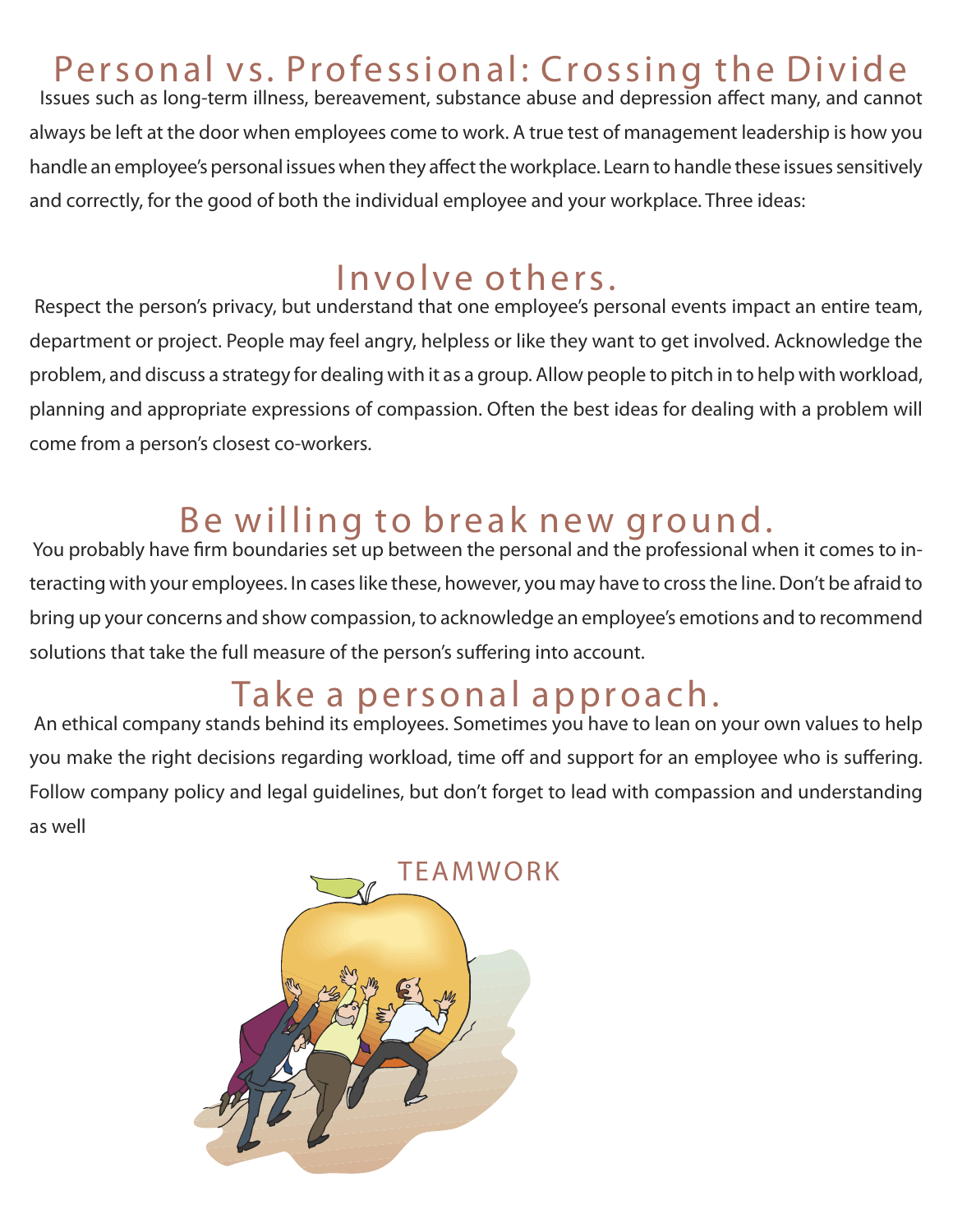## Personal vs. Professional: Crossing the Divide

 *Issues such as long-term illness, bereavement, substance abuse and depression affect many, and cannot always be left at the door when employees come to work. A true test of management leadership is how you handle an employee's personal issues when they affect the workplace. Learn to handle these issues sensitively and correctly, for the good of both the individual employee and your workplace. Three ideas:*

#### Involve others.

 *Respect the person's privacy, but understand that one employee's personal events impact an entire team, department or project. People may feel angry, helpless or like they want to get involved. Acknowledge the problem, and discuss a strategy for dealing with it as a group. Allow people to pitch in to help with workload,*  planning and appropriate expressions of compassion. Often the best ideas for dealing with a problem will *come from a person's closest co-workers.*

#### Be willing to break new ground.

 *You probably have firm boundaries set up between the personal and the professional when it comes to interacting with your employees. In cases like these, however, you may have to cross the line. Don't be afraid to bring up your concerns and show compassion, to acknowledge an employee's emotions and to recommend solutions that take the full measure of the person's suffering into account.*

## Take a personal approach.

 *An ethical company stands behind its employees. Sometimes you have to lean on your own values to help you make the right decisions regarding workload, time off and support for an employee who is suffering. Follow company policy and legal guidelines, but don't forget to lead with compassion and understanding as well*

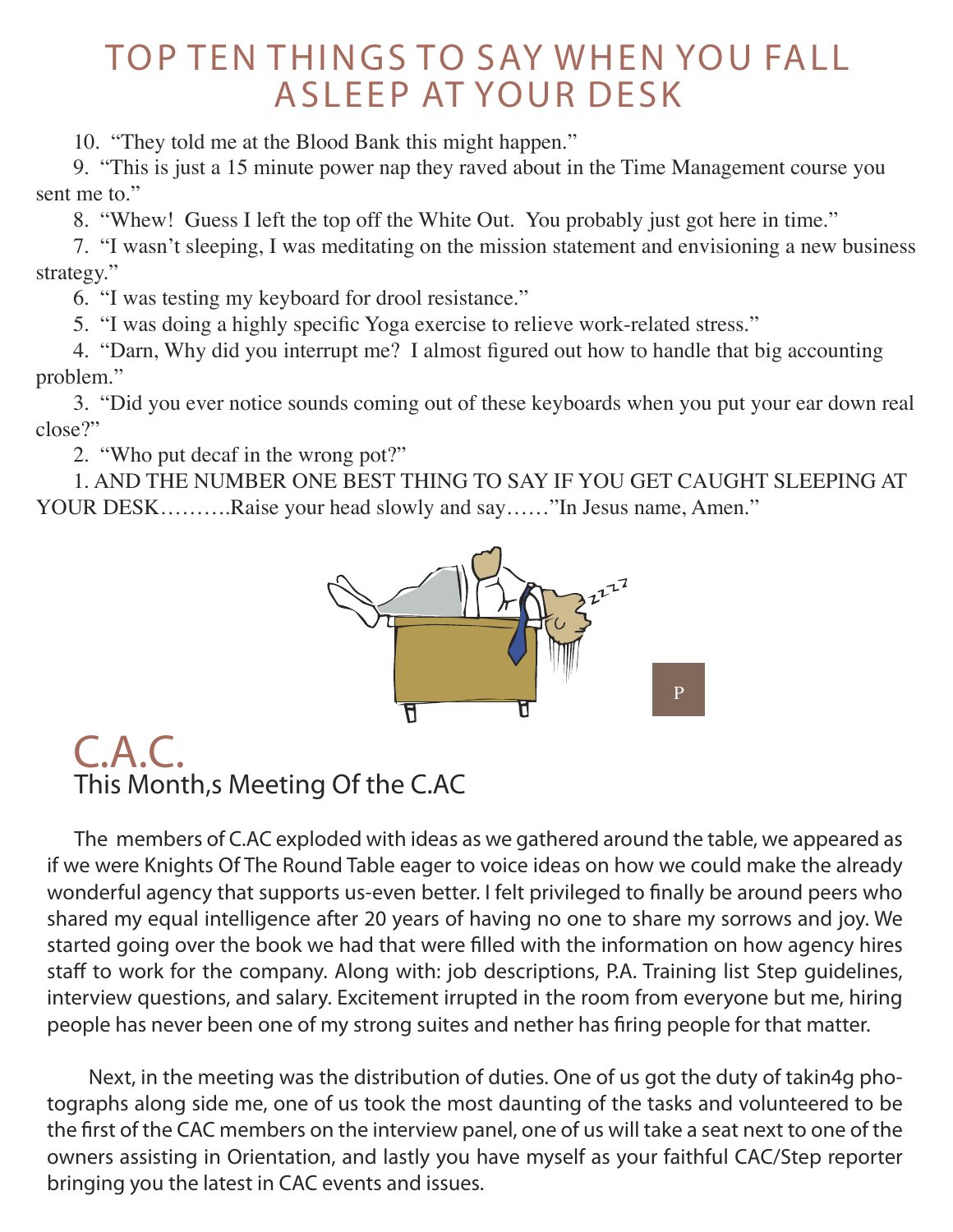#### TOP TEN THINGS TO SAY WHEN YOU FALL A SLEEP AT YOUR DESK

10. "They told me at the Blood Bank this might happen."

9. "This is just a 15 minute power nap they raved about in the Time Management course you sent me to."

8. "Whew! Guess I left the top off the White Out. You probably just got here in time."

7. "I wasn't sleeping, I was meditating on the mission statement and envisioning a new business strategy."

6. "I was testing my keyboard for drool resistance."

5. "I was doing a highly specific Yoga exercise to relieve work-related stress."

4. "Darn, Why did you interrupt me? I almost figured out how to handle that big accounting problem."

3. "Did you ever notice sounds coming out of these keyboards when you put your ear down real close?"

2. "Who put decaf in the wrong pot?"

1. AND THE NUMBER ONE BEST THING TO SAY IF YOU GET CAUGHT SLEEPING AT YOUR DESK……….Raise your head slowly and say……"In Jesus name, Amen."



#### *C.A.C.* **This Month's Meeting Of the C.AC**

**The members of C.AC exploded with ideas as we gathered around the table, we appeared as if we were Knights Of The Round Table eager to voice ideas on how we could make the already wonderful agency that supports us-even better. I felt privileged to finally be around peers who shared my equal intelligence after 20 years of having no one to share my sorrows and joy. We started going over the book we had that were filled with the information on how agency hires staff to work for the company. Along with: job descriptions, P.A. Training list Step guidelines, interview questions, and salary. Excitement irrupted in the room from everyone but me, hiring people has never been one of my strong suites and nether has firing people for that matter.** 

 **Next, in the meeting was the distribution of duties. One of us got the duty of takin4g photographs along side me, one of us took the most daunting of the tasks and volunteered to be the first of the CAC members on the interview panel, one of us will take a seat next to one of the owners assisting in Orientation, and lastly you have myself as your faithful CAC/Step reporter bringing you the latest in CAC events and issues.**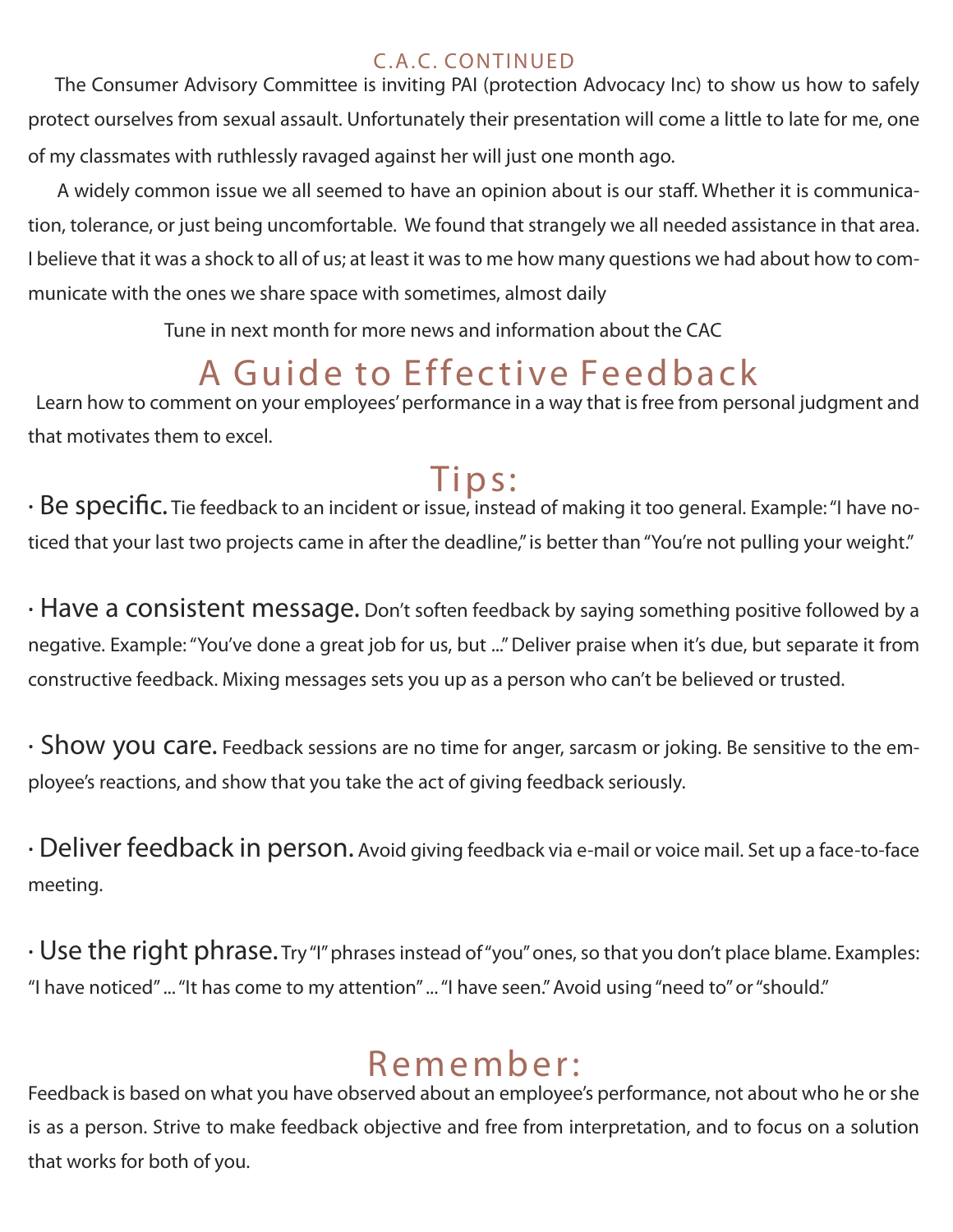#### C.A.C. CONTINUED

 *The Consumer Advisory Committee is inviting PAI (protection Advocacy Inc) to show us how to safely protect ourselves from sexual assault. Unfortunately their presentation will come a little to late for me, one of my classmates with ruthlessly ravaged against her will just one month ago.*

 *A widely common issue we all seemed to have an opinion about is our staff. Whether it is communication, tolerance, or just being uncomfortable. We found that strangely we all needed assistance in that area. I believe that it was a shock to all of us; at least it was to me how many questions we had about how to communicate with the ones we share space with sometimes, almost daily*

 *Tune in next month for more news and information about the CAC*

## A Guide to Effective Feedback

Learn how to comment on your employees' performance in a way that is free from personal judgment and *that motivates them to excel.* 

<sup>7</sup> *i* p **s** :<br>*•* Be specific. Tie feedback to an incident or issue, instead of making it too general. Example: "I have no*ticed that your last two projects came in after the deadline," is better than "You're not pulling your weight."* 

*· Have a consistent message. Don't soften feedback by saying something positive followed by a negative. Example: "You've done a great job for us, but ..." Deliver praise when it's due, but separate it from constructive feedback. Mixing messages sets you up as a person who can't be believed or trusted.*

*· Show you care. Feedback sessions are no time for anger, sarcasm or joking. Be sensitive to the employee's reactions, and show that you take the act of giving feedback seriously.*

*· Deliver feedback in person. Avoid giving feedback via e-mail or voice mail. Set up a face-to-face meeting.*

*· Use the right phrase. Try "I" phrases instead of "you" ones, so that you don't place blame. Examples: "I have noticed" ... "It has come to my attention" ... "I have seen." Avoid using "need to" or "should."* 

## Remember:

*Feedback is based on what you have observed about an employee's performance, not about who he or she is as a person. Strive to make feedback objective and free from interpretation, and to focus on a solution that works for both of you.*